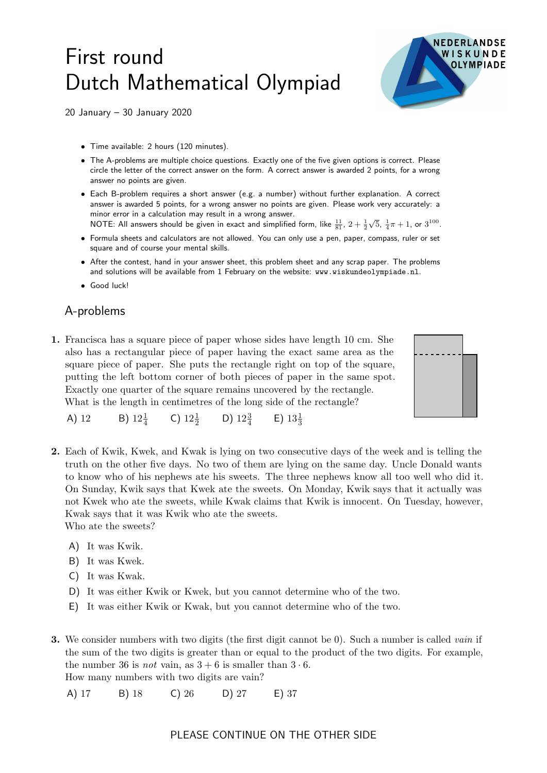## First round Dutch Mathematical Olympiad



20 January – 30 January 2020

- Time available: 2 hours (120 minutes).
- The A-problems are multiple choice questions. Exactly one of the five given options is correct. Please circle the letter of the correct answer on the form. A correct answer is awarded 2 points, for a wrong answer no points are given.
- Each B-problem requires a short answer (e.g. a number) without further explanation. A correct answer is awarded 5 points, for a wrong answer no points are given. Please work very accurately: a minor error in a calculation may result in a wrong answer.
- NOTE: All answers should be given in exact and simplified form, like  $\frac{11}{81}$ ,  $2+\frac{1}{2}$  $\sqrt{5}$ ,  $\frac{1}{4}\pi + 1$ , or  $3^{100}$ .
- Formula sheets and calculators are not allowed. You can only use a pen, paper, compass, ruler or set square and of course your mental skills.
- After the contest, hand in your answer sheet, this problem sheet and any scrap paper. The problems and solutions will be available from 1 February on the website: www.wiskundeolympiade.nl.
- Good luck!

## A-problems

1. Francisca has a square piece of paper whose sides have length 10 cm. She also has a rectangular piece of paper having the exact same area as the square piece of paper. She puts the rectangle right on top of the square, putting the left bottom corner of both pieces of paper in the same spot. Exactly one quarter of the square remains uncovered by the rectangle. What is the length in centimetres of the long side of the rectangle?



- A) 12 B)  $12\frac{1}{4}$ C)  $12\frac{1}{2}$  D)  $12\frac{3}{4}$  E)  $13\frac{1}{3}$
- 2. Each of Kwik, Kwek, and Kwak is lying on two consecutive days of the week and is telling the truth on the other five days. No two of them are lying on the same day. Uncle Donald wants to know who of his nephews ate his sweets. The three nephews know all too well who did it. On Sunday, Kwik says that Kwek ate the sweets. On Monday, Kwik says that it actually was not Kwek who ate the sweets, while Kwak claims that Kwik is innocent. On Tuesday, however, Kwak says that it was Kwik who ate the sweets. Who ate the sweets?
	- A) It was Kwik.
	- B) It was Kwek.
	- C) It was Kwak.
	- D) It was either Kwik or Kwek, but you cannot determine who of the two.
	- E) It was either Kwik or Kwak, but you cannot determine who of the two.
- 3. We consider numbers with two digits (the first digit cannot be 0). Such a number is called vain if the sum of the two digits is greater than or equal to the product of the two digits. For example, the number 36 is *not* vain, as  $3 + 6$  is smaller than  $3 \cdot 6$ . How many numbers with two digits are vain?
	- A) 17 B) 18 C) 26 D) 27 E) 37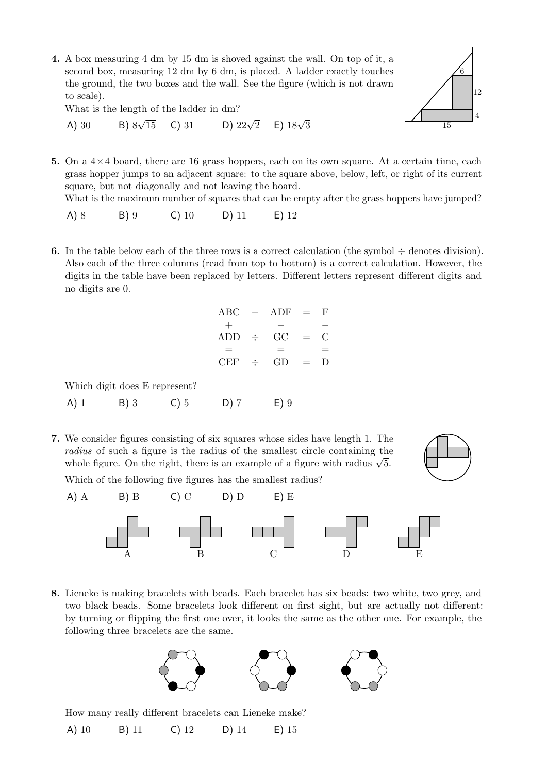4. A box measuring 4 dm by 15 dm is shoved against the wall. On top of it, a second box, measuring 12 dm by 6 dm, is placed. A ladder exactly touches the ground, the two boxes and the wall. See the figure (which is not drawn to scale).

What is the length of the ladder in dm?

A) 30 \tB) 
$$
8\sqrt{15}
$$
 C) 31 \tD)  $22\sqrt{2}$  E)  $18\sqrt{3}$ 



5. On a  $4\times4$  board, there are 16 grass hoppers, each on its own square. At a certain time, each grass hopper jumps to an adjacent square: to the square above, below, left, or right of its current square, but not diagonally and not leaving the board.

What is the maximum number of squares that can be empty after the grass hoppers have jumped?

- A) 8 B) 9 C) 10 D) 11 E) 12
- **6.** In the table below each of the three rows is a correct calculation (the symbol  $\div$  denotes division). Also each of the three columns (read from top to bottom) is a correct calculation. However, the digits in the table have been replaced by letters. Different letters represent different digits and no digits are 0.

|              | $ABC - ADF =$   |                 | - F                    |
|--------------|-----------------|-----------------|------------------------|
| $^{+}$       |                 |                 |                        |
|              | $ADD \div GC =$ |                 | $\left( \cdot \right)$ |
| —            | -               |                 | $=$                    |
| $CEF$ $\div$ | GD              | $\sim$ $\equiv$ | $\Box$                 |

Which digit does E represent?

A) 1 B) 3 C) 5 D) 7 E) 9

Which of the following five figures has the smallest radius?

7. We consider figures consisting of six squares whose sides have length 1. The radius of such a figure is the radius of the smallest circle containing the *raatus* of such a figure is the radius of the smallest circle containing the whole figure. On the right, there is an example of a figure with radius  $\sqrt{5}$ .



A) A B) B C) C D) D E) E A B C D E

8. Lieneke is making bracelets with beads. Each bracelet has six beads: two white, two grey, and two black beads. Some bracelets look different on first sight, but are actually not different: by turning or flipping the first one over, it looks the same as the other one. For example, the following three bracelets are the same.



How many really different bracelets can Lieneke make?

A) 10 B) 11 C) 12 D) 14 E) 15